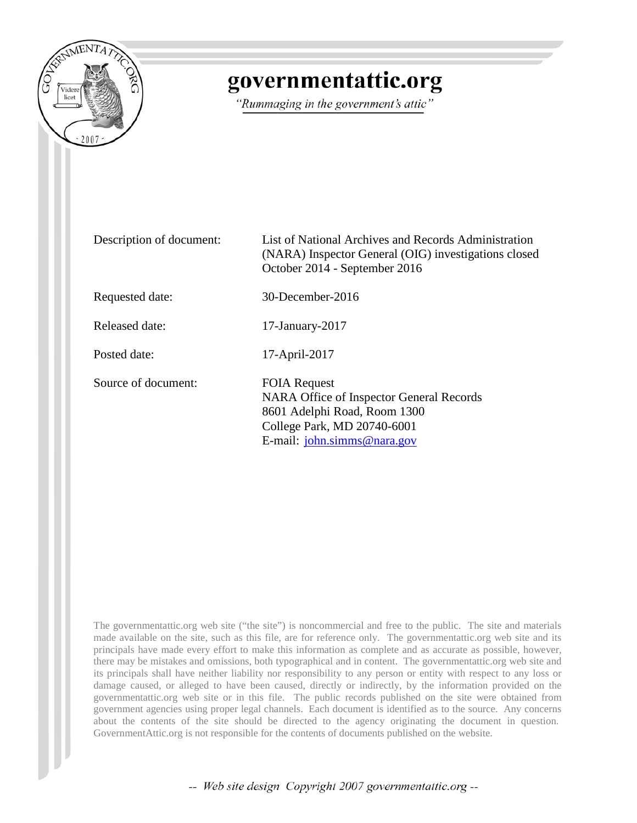

# governmentattic.org

"Rummaging in the government's attic"

| Description of document: | List of National Archives and Records Administration<br>(NARA) Inspector General (OIG) investigations closed<br>October 2014 - September 2016                             |
|--------------------------|---------------------------------------------------------------------------------------------------------------------------------------------------------------------------|
| Requested date:          | 30-December-2016                                                                                                                                                          |
| Released date:           | $17$ -January- $2017$                                                                                                                                                     |
| Posted date:             | 17-April-2017                                                                                                                                                             |
| Source of document:      | <b>FOIA Request</b><br>NARA Office of Inspector General Records<br>8601 Adelphi Road, Room 1300<br>College Park, MD 20740-6001<br>E-mail: $\mathbf{i}$ ohn.simms@nara.gov |

The governmentattic.org web site ("the site") is noncommercial and free to the public. The site and materials made available on the site, such as this file, are for reference only. The governmentattic.org web site and its principals have made every effort to make this information as complete and as accurate as possible, however, there may be mistakes and omissions, both typographical and in content. The governmentattic.org web site and its principals shall have neither liability nor responsibility to any person or entity with respect to any loss or damage caused, or alleged to have been caused, directly or indirectly, by the information provided on the governmentattic.org web site or in this file. The public records published on the site were obtained from government agencies using proper legal channels. Each document is identified as to the source. Any concerns about the contents of the site should be directed to the agency originating the document in question. GovernmentAttic.org is not responsible for the contents of documents published on the website.

-- Web site design Copyright 2007 governmentattic.org --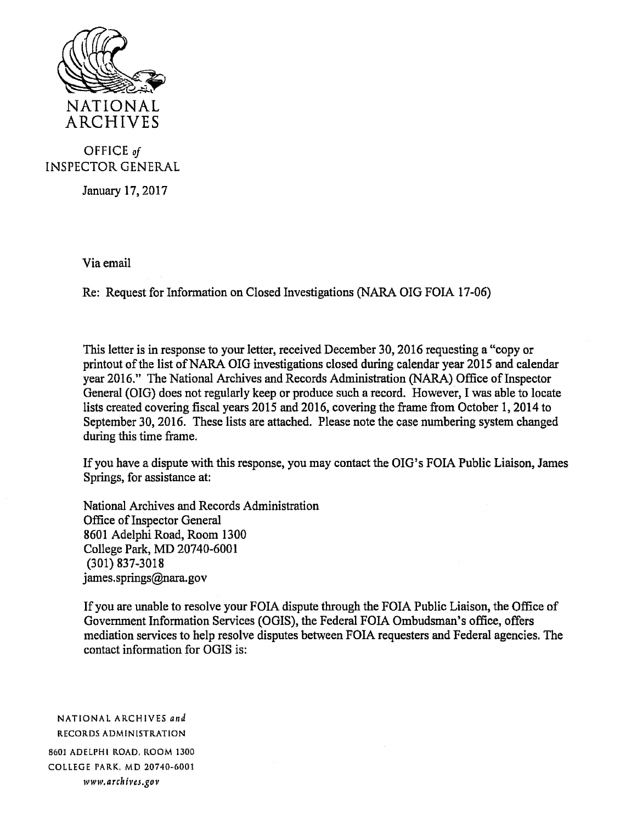

#### OFFICE *of*  INSPECTOR GENERAL

January 17, 2017

Via email

Re: Request for Information on Closed Investigations (NARA OIG FOIA 17-06)

This letter is in response to your letter, received December 30, 2016 requesting a "copy or printout of the list of NARA OIG investigations closed during calendar year 2015 and calendar year 2016." The National Archives and Records Administration (NARA) Office of Inspector General (OIG) does not regularly keep or produce such a record. However, I was able to locate lists created covering fiscal years 2015 and 2016, covering the frame from October 1, 2014 to September 30, 2016. These lists are attached. Please note the case numbering system changed during this time frame.

If you have a dispute with this response, you may contact the OIG's FOIA Public Liaison, James Springs, for assistance at:

National Archives and Records Administration Office of Inspector General 8601 Adelphi Road, Room 1300 College Park, MD 20740-6001 (301) 837-3018 james.springs@nara.gov

If you are unable to resolve your FOIA dispute through the FOIA Public Liaison, the Office of Government Information Services (OGIS), the Federal FOIA Ombudsman's office, offers mediation services to help resolve disputes between FOIA requesters and Federal agencies. The contact information for OGIS is:

NATIONAL ARCHIVES *and*  RECORDS ADMINISTRATION 8601 ADELPHI ROAD. ROOM 1300 COLLEGE PARK, MD 20740-6001 *www.archives.gov*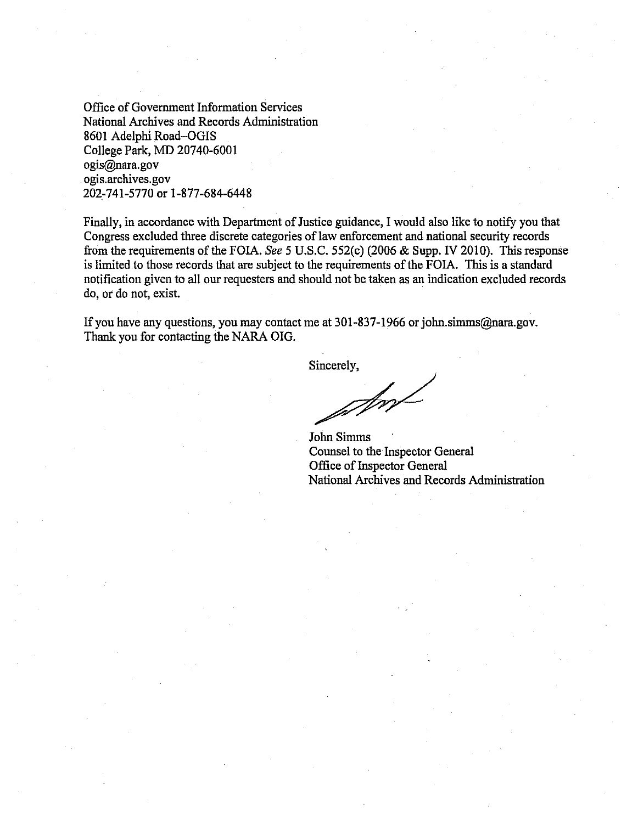Office of Government Information Services National Archives and Records Administration 8601 Adelphi Road-OGIS College Park, MD 20740-6001 ogis@nara.gov ogis.archives.gov 202-741-5770 or 1-877-684-6448

Finally, in accordance with Department of Justice guidance, I would also like to notify you that Congress excluded three discrete categories of law enforcement and national security records from the requirements of the FOIA. *See* 5 U.S.C. 552(c) (2006 & Supp. IV 2010). This response is limited to those records that are subject to the requirements of the FOIA. This is a standard notification given to all our requesters and should not be taken as an indication excluded records do, or do not, exist.

If you have any questions, you may contact me at 301-837-1966 or john.simms@nara.gov. Thank you for contacting the NARA OIG.

Sincerely,

Sm

John Simms Counsel to the Inspector General Office of Inspector General National Archives and Records Administration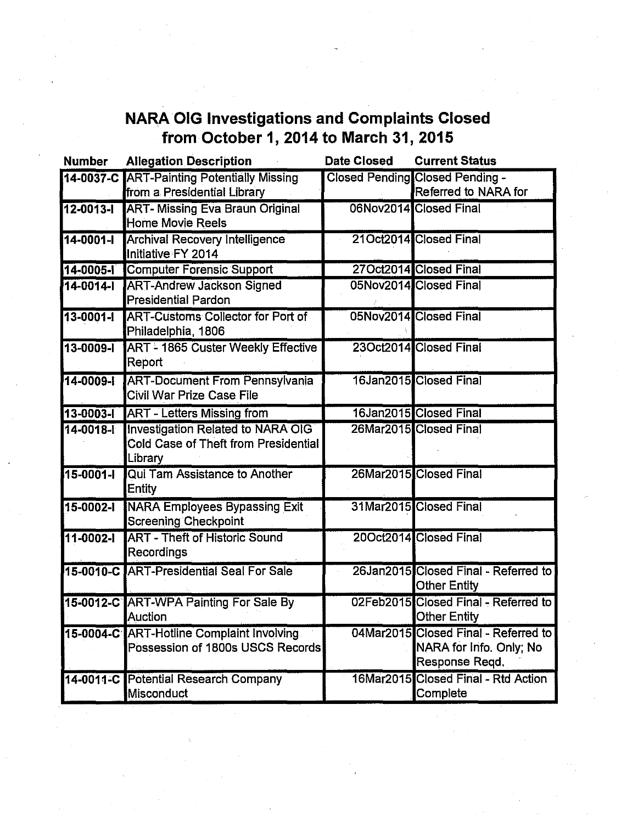## **NARA OIG Investigations and Complaints Closed from October 1, 2014 to March 31, 2015**

| <b>Number</b>   | <b>Allegation Description</b>                                                        | <b>Date Closed</b> | <b>Current Status</b>                                                             |
|-----------------|--------------------------------------------------------------------------------------|--------------------|-----------------------------------------------------------------------------------|
| 14-0037-C       | <b>ART-Painting Potentially Missing</b><br>from a Presidential Library               |                    | <b>Closed Pending Closed Pending -</b><br>Referred to NARA for                    |
| 12-0013-1       | <b>ART- Missing Eva Braun Original</b><br>Home Movie Reels                           |                    | 06Nov2014 Closed Final                                                            |
| 14-0001-1       | <b>Archival Recovery Intelligence</b><br>Initiative FY 2014                          |                    | 21Oct2014 Closed Final                                                            |
| 14-0005-1       | <b>Computer Forensic Support</b>                                                     |                    | 27Oct2014 Closed Final                                                            |
| 14-0014-1       | <b>ART-Andrew Jackson Signed</b><br><b>Presidential Pardon</b>                       |                    | 05Nov2014 Closed Final                                                            |
| $13 - 0001 - 1$ | <b>ART-Customs Collector for Port of</b><br>Philadelphia, 1806                       |                    | 05Nov2014 Closed Final                                                            |
| 13-0009-1       | <b>ART - 1865 Custer Weekly Effective</b><br>Report                                  |                    | 23Oct2014 Closed Final                                                            |
| $14 - 0009 - 1$ | <b>ART-Document From Pennsylvania</b><br><b>Civil War Prize Case File</b>            |                    | 16Jan2015 Closed Final                                                            |
| $13 - 0003 - 1$ | <b>ART - Letters Missing from</b>                                                    |                    | 16Jan2015 Closed Final                                                            |
| $14 - 0018 - 1$ | Investigation Related to NARA OIG<br>Cold Case of Theft from Presidential<br>Library |                    | 26Mar2015 Closed Final                                                            |
| $15 - 0001 - 1$ | Qui Tam Assistance to Another<br>Entity                                              |                    | 26Mar2015 Closed Final                                                            |
| $15 - 0002 - 1$ | <b>NARA Employees Bypassing Exit</b><br>Screening Checkpoint                         |                    | 31Mar2015 Closed Final                                                            |
| $11 - 0002 - 1$ | <b>ART - Theft of Historic Sound</b><br>Recordings                                   |                    | 20Oct2014 Closed Final                                                            |
|                 | 15-0010-C ART-Presidential Seal For Sale                                             |                    | 26Jan2015 Closed Final - Referred to<br><b>Other Entity</b>                       |
|                 | 15-0012-C ART-WPA Painting For Sale By<br>Auction                                    |                    | 02Feb2015 Closed Final - Referred to<br><b>Other Entity</b>                       |
|                 | 15-0004-C ART-Hotline Complaint Involving<br>Possession of 1800s USCS Records        |                    | 04Mar2015 Closed Final - Referred to<br>NARA for Info. Only; No<br>Response Regd. |
|                 | 14-0011-C Potential Research Company<br>Misconduct                                   |                    | 16Mar2015 Closed Final - Rtd Action<br>Complete                                   |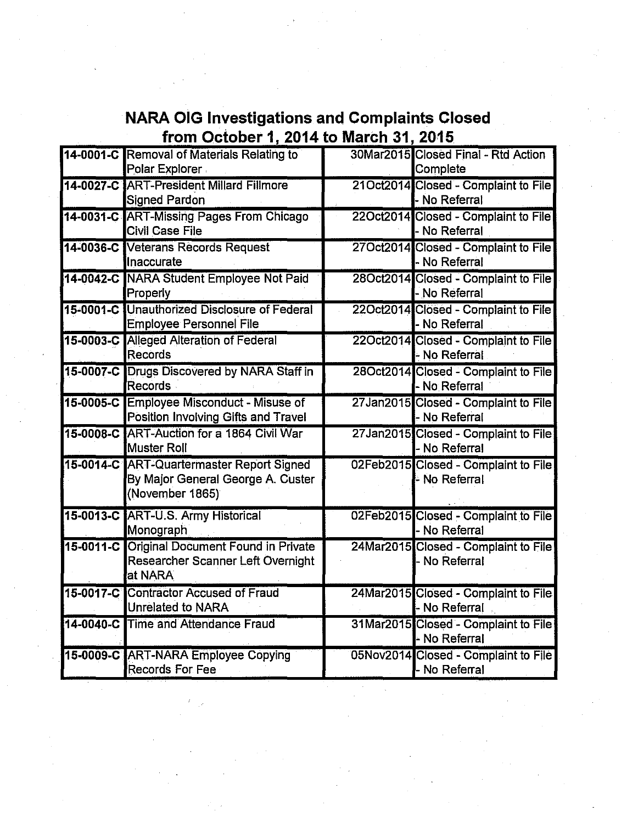### **NARA OIG Investigations and Complaints Closed from October 1, 2014 to March 31, 2015**

| 14-0001-C Removal of Materials Relating to<br>Polar Explorer                                      | 30Mar2015 Closed Final - Rtd Action<br>Complete       |
|---------------------------------------------------------------------------------------------------|-------------------------------------------------------|
| 14-0027-C ART-President Millard Fillmore<br><b>Signed Pardon</b>                                  | 21Oct2014 Closed - Complaint to File<br>- No Referral |
| 14-0031-C ART-Missing Pages From Chicago<br><b>Civil Case File</b>                                | 22Oct2014 Closed - Complaint to File<br>- No Referral |
| 14-0036-C Veterans Records Request<br>Inaccurate                                                  | 27Oct2014 Closed - Complaint to File<br>- No Referral |
| 14-0042-C NARA Student Employee Not Paid<br>Properly                                              | 28Oct2014 Closed - Complaint to File<br>- No Referral |
| 15-0001-C Unauthorized Disclosure of Federal<br><b>Employee Personnel File</b>                    | 22Oct2014 Closed - Complaint to File<br>- No Referral |
| 15-0003-C Alleged Alteration of Federal<br>Records                                                | 22Oct2014 Closed - Complaint to File<br>- No Referral |
| 15-0007-C Drugs Discovered by NARA Staff in<br>Records                                            | 28Oct2014 Closed - Complaint to File<br>- No Referral |
| 15-0005-C Employee Misconduct - Misuse of<br>Position Involving Gifts and Travel                  | 27Jan2015 Closed - Complaint to File<br>- No Referral |
| 15-0008-C ART-Auction for a 1864 Civil War<br><b>Muster Roll</b>                                  | 27Jan2015 Closed - Complaint to File<br>- No Referral |
| 15-0014-C ART-Quartermaster Report Signed<br>By Major General George A. Custer<br>(November 1865) | 02Feb2015 Closed - Complaint to File<br>- No Referral |
| 15-0013-C ART-U.S. Army Historical<br>Monograph                                                   | 02Feb2015 Closed - Complaint to File<br>- No Referral |
| 15-0011-C Original Document Found in Private<br>Researcher Scanner Left Overnight<br>at NARA      | 24Mar2015 Closed - Complaint to File<br>- No Referral |
| 15-0017-C Contractor Accused of Fraud<br>Unrelated to NARA                                        | 24Mar2015 Closed - Complaint to File<br>- No Referral |
| 14-0040-C Time and Attendance Fraud                                                               | 31Mar2015 Closed - Complaint to File<br>- No Referral |
| 15-0009-C ART-NARA Employee Copying<br>Records For Fee                                            | 05Nov2014 Closed - Complaint to File<br>- No Referral |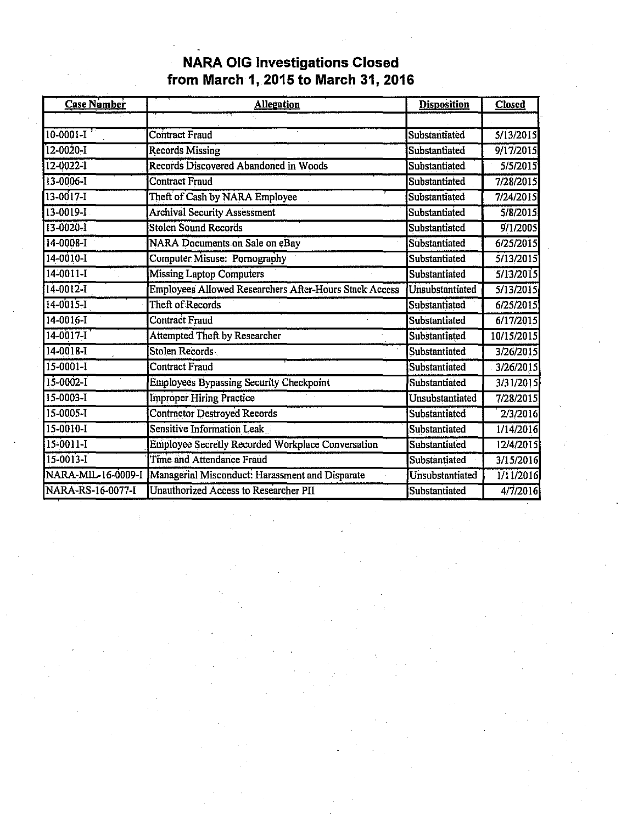### **NARA OIG Investigations Closed from March 1, 2015 to March 31, 2016**

| <b>Case Number</b> | <b>Allegation</b>                                             | <b>Disposition</b> | <b>Closed</b> |
|--------------------|---------------------------------------------------------------|--------------------|---------------|
|                    |                                                               |                    |               |
| $10-0001-I$        | Contract Fraud                                                | Substantiated      | 5/13/2015     |
| $12 - 0020 - I$    | <b>Records Missing</b>                                        | Substantiated      | 9/17/2015     |
| 12-0022-1          | Records Discovered Abandoned in Woods                         | Substantiated      | 5/5/2015      |
| 13-0006-1          | <b>Contract Fraud</b>                                         | Substantiated      | 7/28/2015     |
| 13-0017-I          | Theft of Cash by NARA Employee                                | Substantiated      | 7/24/2015     |
| $13 - 0019 - I$    | <b>Archival Security Assessment</b>                           | Substantiated      | 5/8/2015      |
| $13 - 0020 - 1$    | <b>Stolen Sound Records</b>                                   | Substantiated      | 9/1/2005      |
| 14-0008-1          | <b>NARA Documents on Sale on eBay</b>                         | Substantiated      | 6/25/2015     |
| 14-0010-I          | Computer Misuse: Pornography                                  | Substantiated      | 5/13/2015     |
| $14 - 0011 - I$    | <b>Missing Laptop Computers</b>                               | Substantiated      | 5/13/2015     |
| 14-0012-1          | <b>Employees Allowed Researchers After-Hours Stack Access</b> | Unsubstantiated    | 5/13/2015     |
| $14 - 0015 - 1$    | Theft of Records                                              | Substantiated      | 6/25/2015     |
| 14-0016-I          | <b>Contract Fraud</b>                                         | Substantiated      | 6/17/2015     |
| $14 - 0017 - I$    | Attempted Theft by Researcher                                 | Substantiated      | 10/15/2015    |
| 14-0018-1          | <b>Stolen Records</b>                                         | Substantiated      | 3/26/2015     |
| $15 - 0001 - 1$    | Contract Fraud                                                | Substantiated      | 3/26/2015     |
| $15 - 0002 - 1$    | <b>Employees Bypassing Security Checkpoint</b>                | Substantiated      | 3/31/2015     |
| $15 - 0003 - I$    | <b>Improper Hiring Practice</b>                               | Unsubstantiated    | 7/28/2015     |
| 15-0005-1          | <b>Contractor Destroyed Records</b>                           | Substantiated      | 2/3/2016      |
| 15-0010-I          | <b>Sensitive Information Leak</b>                             | Substantiated      | 1/14/2016     |
| 15-0011-I          | Employee Secretly Recorded Workplace Conversation             | Substantiated      | 12/4/2015     |
| $15 - 0013 - 1$    | <b>Time and Attendance Fraud</b>                              | Substantiated      | 3/15/2016     |
| NARA-MIL-16-0009-I | Managerial Misconduct: Harassment and Disparate               | Unsubstantiated    | 1/11/2016     |
| NARA-RS-16-0077-I  | Unauthorized Access to Researcher PII                         | Substantiated      | 4/7/2016      |